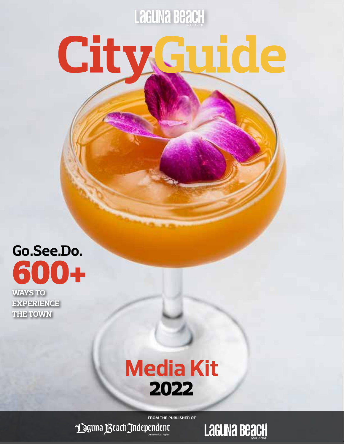**Laguna Beach** 

# **CityGuide**

**Go.See.Do.** 600+

**WAYS TO EXPERIENCE THE TOWN**

## **Media Kit** 2022

FROM THE PUBLISHER OF

Maguna Beach Independent

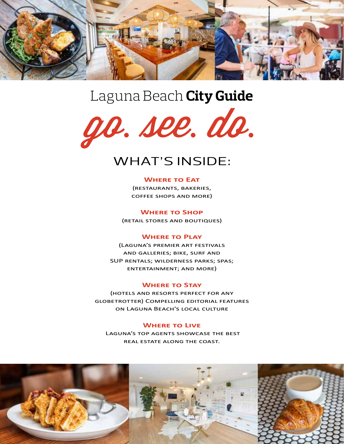

## Laguna Beach **City Guide**



### WHAT'S INSIDE:

#### **Where to Eat**

(restaurants, bakeries, coffee shops and more)

**Where to Shop**  (retail stores and boutiques)

#### **Where to Play**

(Laguna's premier art festivals and galleries; bike, surf and SUP rentals; wilderness parks; spas; entertainment; and more)

#### **Where to Stay**

(hotels and resorts perfect for any globetrotter) Compelling editorial features on Laguna Beach's local culture

#### **Where to Live**

 Laguna's top agents showcase the best real estate along the coast.

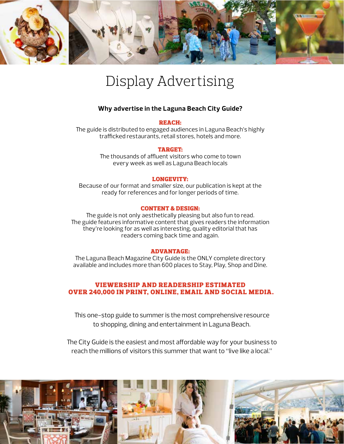

## Display Advertising

#### **Why advertise in the Laguna Beach City Guide?**

#### REACH:

The guide is distributed to engaged audiences in Laguna Beach's highly trafficked restaurants, retail stores, hotels and more.

#### TARGET:

The thousands of affluent visitors who come to town every week as well as Laguna Beach locals

#### LONGEVITY:

Because of our format and smaller size, our publication is kept at the ready for references and for longer periods of time.

#### CONTENT & DESIGN:

The guide is not only aesthetically pleasing but also fun to read. The guide features informative content that gives readers the information they're looking for as well as interesting, quality editorial that has readers coming back time and again.

#### ADVANTAGE:

The Laguna Beach Magazine City Guide is the ONLY complete directory available and includes more than 600 places to Stay, Play, Shop and Dine.

#### VIEWERSHIP AND READERSHIP ESTIMATED OVER 240,000 IN PRINT, ONLINE, EMAIL AND SOCIAL MEDIA.

This one-stop guide to summer is the most comprehensive resource to shopping, dining and entertainment in Laguna Beach.

The City Guide is the easiest and most affordable way for your business to reach the millions of visitors this summer that want to "live like a local."

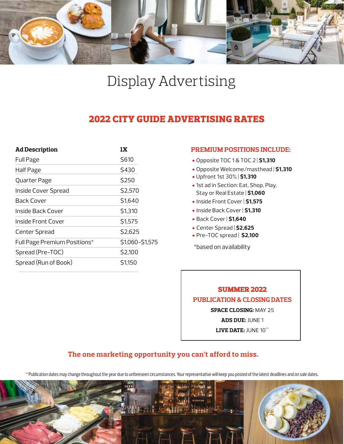

## Display Advertising

#### 2022 CITY GUIDE ADVERTISING RATES

| <b>Ad Description</b>        | 1X              |
|------------------------------|-----------------|
| Full Page                    | \$610           |
| Half Page                    | \$430           |
| Quarter Page                 | \$250           |
| Inside Cover Spread          | \$2,570         |
| Back Cover                   | \$1,640         |
| Inside Back Cover            | \$1,310         |
| Inside Front Cover           | \$1,575         |
| <b>Center Spread</b>         | \$2,625         |
| Full Page Premium Positions* | \$1,060-\$1,575 |
| Spread (Pre-TOC)             | \$2,100         |
| Spread (Run of Book)         | \$1,150         |

#### **PREMIUM POSITIONS INCLUDE:**

- Opposite TOC 1 & TOC 2 | **\$1,310**
- Opposite Welcome/masthead | **\$1,310**
- Upfront 1st 30% | **\$1,310**
- 1st ad in Section: Eat, Shop, Play, Stay or Real Estate | **\$1,060**
- Inside Front Cover | **\$1,575**
- Inside Back Cover | **\$1,310**
- Back Cover | **\$1,640**
- Center Spread | **\$2,625**
- Pre-TOC spread | **\$2,100**

\*based on availability



#### **The one marketing opportunity you can't afford to miss.**

\*\*Publication dates may change throughout the year due to unforeseen circumstances. Your representative will keep you posted of the latest deadlines and on sale dates.

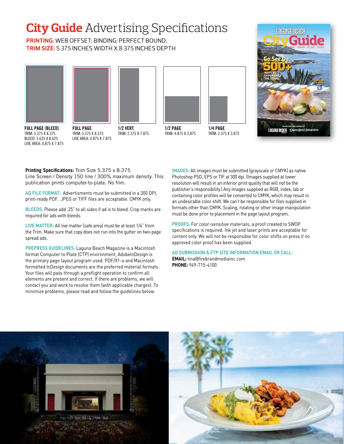## **City Guide** Advertising Specifications

**PRINTING:** WEB OFFSET; BINDING: PERFECT BOUND; **TRIM SIZE:** 5.375 INCHES WIDTH X 8.375 INCHES DEPTH









TRIM: 4.875 X 3.875 **1/4 PAGE** TRIM: 2.375 X 3.875



TRIM: 5.375 X 8.375 BLEED: 5.625 X 8.625 LIVE AREA: 4.875 X 7.875

required for ads with bleeds.

spread ads.

TRIM: 5.375 X 8.375 LIVE AREA: 4.875 X 7.875

Line Screen / Density 150 line / 300% maximum density. This

**AD FILE FORMAT:** Advertisments must be submitted in a 300 DPI, print-ready PDF. JPEG or TIFF files are acceptable. CMYK only.

**BLEEDS:** Please add .25" to all sides if ad is to bleed. Crop marks are

**LIVE MATTER:** All live matter (safe area) must be at least 1/4" from the Trim. Make sure that copy does not run into the gutter on two-page

**PREPRESS GUIDELINES:** Laguna Beach Magazine is a Macintosh format Computer to Plate (CTP) environment, AdobeInDesign is the primary page layout program used. PDF/X1-a and Macintosh formatted InDesign documents are the preferred material formats. Your files will pass through a preflight operation to confirm all elements are present and correct. If there are problems, we will contact you and work to resolve them (with applicable charges). To minimize problems, please read and follow the guidelines below.

**Printing Specifications:** Trim Size 5.375 x 8.375

publication prints computer-to-plate. No film.

TRIM: 2.375 X 7.875

#### **IMAGES:** All images must be submitted (grayscale or CMYK) as native Photoshop PSD, EPS or TIF at 300 dpi. (Images supplied at lower resolution will result in an inferior print quality that will not be the publisher's responsibility.) Any images supplied as RGB, index, lab or containing color profiles will be converted to CMYK, which may result in an undesirable color shift. We can't be responsible for files supplied in formats other than CMYK. Scaling, rotating or other image manipulation must be done prior to placement in the page layout program.

**PROOFS:** For color-sensitive materials, a proof created to SWOP specifications is required. Ink jet and laser prints are acceptable for content only. We will not be responsible for color shifts on press if no approved color proof has been supplied.

#### **AD SUBMISSION & FTP SITE INFORMATION EMAIL OR CALL:**

**EMAIL:** tina@firebrandmediainc.com **PHONE:** 949-715-4100